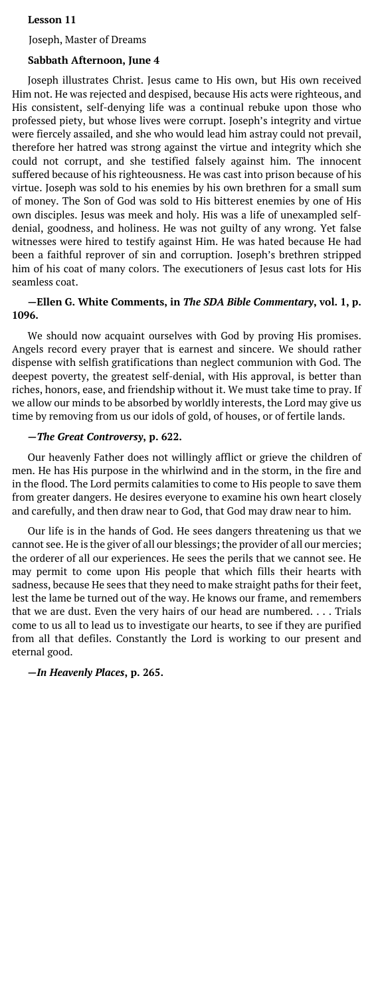# **Lesson 11**

# Joseph, Master of Dreams

# **Sabbath Afternoon, June 4**

Joseph illustrates Christ. Jesus came to His own, but His own received Him not. He was rejected and despised, because His acts were righteous, and His consistent, self-denying life was a continual rebuke upon those who professed piety, but whose lives were corrupt. Joseph's integrity and virtue were fiercely assailed, and she who would lead him astray could not prevail, therefore her hatred was strong against the virtue and integrity which she could not corrupt, and she testified falsely against him. The innocent suffered because of his righteousness. He was cast into prison because of his virtue. Joseph was sold to his enemies by his own brethren for a small sum of money. The Son of God was sold to His bitterest enemies by one of His own disciples. Jesus was meek and holy. His was a life of unexampled selfdenial, goodness, and holiness. He was not guilty of any wrong. Yet false witnesses were hired to testify against Him. He was hated because He had been a faithful reprover of sin and corruption. Joseph's brethren stripped him of his coat of many colors. The executioners of Jesus cast lots for His seamless coat.

# **—Ellen G. White Comments, in** *The SDA Bible Commentary***, vol. 1, p. 1096.**

We should now acquaint ourselves with God by proving His promises. Angels record every prayer that is earnest and sincere. We should rather dispense with selfish gratifications than neglect communion with God. The deepest poverty, the greatest self-denial, with His approval, is better than riches, honors, ease, and friendship without it. We must take time to pray. If we allow our minds to be absorbed by worldly interests, the Lord may give us time by removing from us our idols of gold, of houses, or of fertile lands.

## **—***The Great Controversy***, p. 622.**

Our heavenly Father does not willingly afflict or grieve the children of men. He has His purpose in the whirlwind and in the storm, in the fire and in the flood. The Lord permits calamities to come to His people to save them from greater dangers. He desires everyone to examine his own heart closely and carefully, and then draw near to God, that God may draw near to him.

Our life is in the hands of God. He sees dangers threatening us that we cannot see. He is the giver of all our blessings; the provider of all our mercies; the orderer of all our experiences. He sees the perils that we cannot see. He may permit to come upon His people that which fills their hearts with sadness, because He sees that they need to make straight paths for their feet, lest the lame be turned out of the way. He knows our frame, and remembers that we are dust. Even the very hairs of our head are numbered. . . . Trials come to us all to lead us to investigate our hearts, to see if they are purified from all that defiles. Constantly the Lord is working to our present and eternal good.

**—***In Heavenly Places***, p. 265.**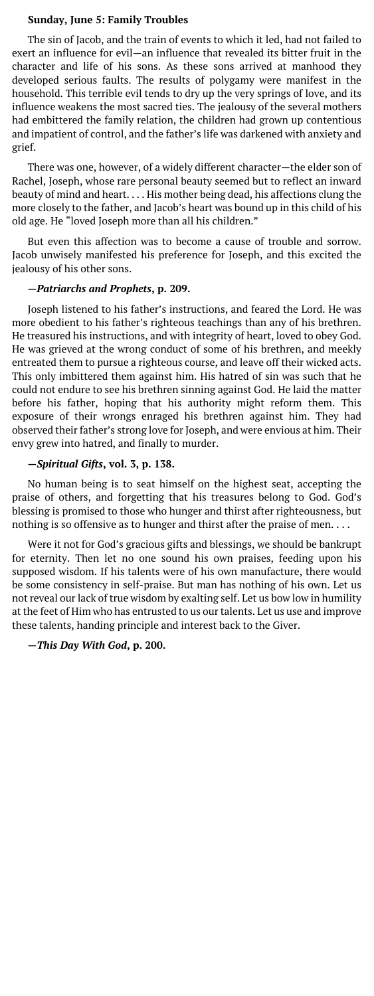#### **Sunday, June 5: Family Troubles**

The sin of Jacob, and the train of events to which it led, had not failed to exert an influence for evil—an influence that revealed its bitter fruit in the character and life of his sons. As these sons arrived at manhood they developed serious faults. The results of polygamy were manifest in the household. This terrible evil tends to dry up the very springs of love, and its influence weakens the most sacred ties. The jealousy of the several mothers had embittered the family relation, the children had grown up contentious and impatient of control, and the father's life was darkened with anxiety and grief.

There was one, however, of a widely different character—the elder son of Rachel, Joseph, whose rare personal beauty seemed but to reflect an inward beauty of mind and heart. . . . His mother being dead, his affections clung the more closely to the father, and Jacob's heart was bound up in this child of his old age. He "loved Joseph more than all his children."

But even this affection was to become a cause of trouble and sorrow. Jacob unwisely manifested his preference for Joseph, and this excited the jealousy of his other sons.

# **—***Patriarchs and Prophets***, p. 209.**

Joseph listened to his father's instructions, and feared the Lord. He was more obedient to his father's righteous teachings than any of his brethren. He treasured his instructions, and with integrity of heart, loved to obey God. He was grieved at the wrong conduct of some of his brethren, and meekly entreated them to pursue a righteous course, and leave off their wicked acts. This only imbittered them against him. His hatred of sin was such that he could not endure to see his brethren sinning against God. He laid the matter before his father, hoping that his authority might reform them. This exposure of their wrongs enraged his brethren against him. They had observed their father's strong love for Joseph, and were envious at him. Their envy grew into hatred, and finally to murder.

#### **—***Spiritual Gifts***, vol. 3, p. 138.**

No human being is to seat himself on the highest seat, accepting the praise of others, and forgetting that his treasures belong to God. God's blessing is promised to those who hunger and thirst after righteousness, but nothing is so offensive as to hunger and thirst after the praise of men. . . .

Were it not for God's gracious gifts and blessings, we should be bankrupt for eternity. Then let no one sound his own praises, feeding upon his supposed wisdom. If his talents were of his own manufacture, there would be some consistency in self-praise. But man has nothing of his own. Let us not reveal our lack of true wisdom by exalting self. Let us bow low in humility at the feet of Him who has entrusted to us our talents. Let us use and improve these talents, handing principle and interest back to the Giver.

**—***This Day With God***, p. 200.**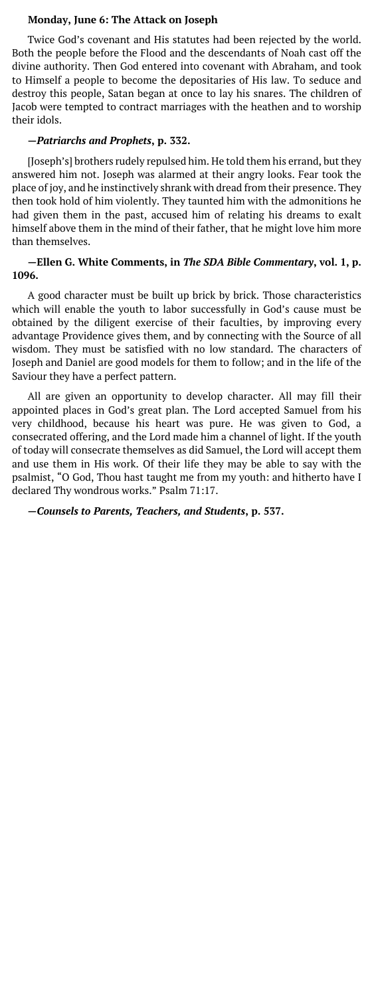## **Monday, June 6: The Attack on Joseph**

Twice God's covenant and His statutes had been rejected by the world. Both the people before the Flood and the descendants of Noah cast off the divine authority. Then God entered into covenant with Abraham, and took to Himself a people to become the depositaries of His law. To seduce and destroy this people, Satan began at once to lay his snares. The children of Jacob were tempted to contract marriages with the heathen and to worship their idols.

## **—***Patriarchs and Prophets***, p. 332.**

[Joseph's] brothers rudely repulsed him. He told them his errand, but they answered him not. Joseph was alarmed at their angry looks. Fear took the place of joy, and he instinctively shrank with dread from their presence. They then took hold of him violently. They taunted him with the admonitions he had given them in the past, accused him of relating his dreams to exalt himself above them in the mind of their father, that he might love him more than themselves.

# **—Ellen G. White Comments, in** *The SDA Bible Commentary***, vol. 1, p. 1096.**

A good character must be built up brick by brick. Those characteristics which will enable the youth to labor successfully in God's cause must be obtained by the diligent exercise of their faculties, by improving every advantage Providence gives them, and by connecting with the Source of all wisdom. They must be satisfied with no low standard. The characters of Joseph and Daniel are good models for them to follow; and in the life of the Saviour they have a perfect pattern.

All are given an opportunity to develop character. All may fill their appointed places in God's great plan. The Lord accepted Samuel from his very childhood, because his heart was pure. He was given to God, a consecrated offering, and the Lord made him a channel of light. If the youth of today will consecrate themselves as did Samuel, the Lord will accept them and use them in His work. Of their life they may be able to say with the psalmist, "O God, Thou hast taught me from my youth: and hitherto have I declared Thy wondrous works." Psalm 71:17.

**—***Counsels to Parents, Teachers, and Students***, p. 537.**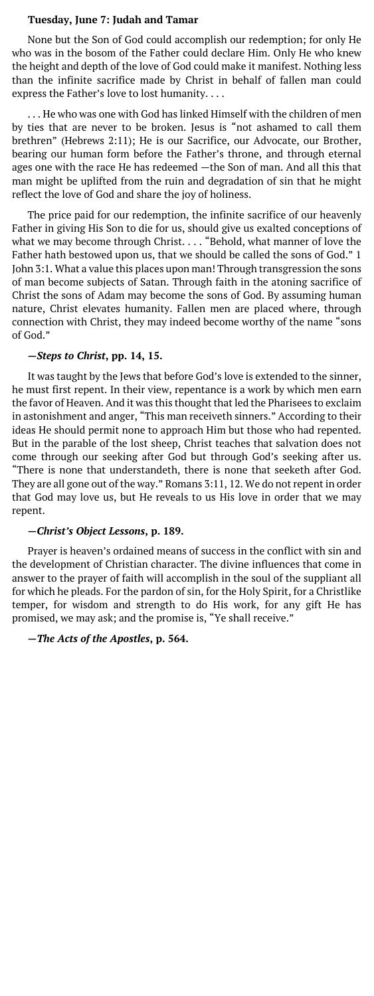#### **Tuesday, June 7: Judah and Tamar**

None but the Son of God could accomplish our redemption; for only He who was in the bosom of the Father could declare Him. Only He who knew the height and depth of the love of God could make it manifest. Nothing less than the infinite sacrifice made by Christ in behalf of fallen man could express the Father's love to lost humanity. . . .

. . . He who was one with God has linked Himself with the children of men by ties that are never to be broken. Jesus is "not ashamed to call them brethren" (Hebrews 2:11); He is our Sacrifice, our Advocate, our Brother, bearing our human form before the Father's throne, and through eternal ages one with the race He has redeemed —the Son of man. And all this that man might be uplifted from the ruin and degradation of sin that he might reflect the love of God and share the joy of holiness.

The price paid for our redemption, the infinite sacrifice of our heavenly Father in giving His Son to die for us, should give us exalted conceptions of what we may become through Christ. . . . "Behold, what manner of love the Father hath bestowed upon us, that we should be called the sons of God." 1 John 3:1. What a value this places upon man! Through transgression the sons of man become subjects of Satan. Through faith in the atoning sacrifice of Christ the sons of Adam may become the sons of God. By assuming human nature, Christ elevates humanity. Fallen men are placed where, through connection with Christ, they may indeed become worthy of the name "sons of God."

#### **—***Steps to Christ***, pp. 14, 15.**

It was taught by the Jews that before God's love is extended to the sinner, he must first repent. In their view, repentance is a work by which men earn the favor of Heaven. And it was this thought that led the Pharisees to exclaim in astonishment and anger, "This man receiveth sinners." According to their ideas He should permit none to approach Him but those who had repented. But in the parable of the lost sheep, Christ teaches that salvation does not come through our seeking after God but through God's seeking after us. "There is none that understandeth, there is none that seeketh after God. They are all gone out of the way." Romans 3:11, 12. We do not repent in order that God may love us, but He reveals to us His love in order that we may repent.

#### **—***Christ's Object Lessons***, p. 189.**

Prayer is heaven's ordained means of success in the conflict with sin and the development of Christian character. The divine influences that come in answer to the prayer of faith will accomplish in the soul of the suppliant all for which he pleads. For the pardon of sin, for the Holy Spirit, for a Christlike temper, for wisdom and strength to do His work, for any gift He has promised, we may ask; and the promise is, "Ye shall receive."

# **—***The Acts of the Apostles***, p. 564.**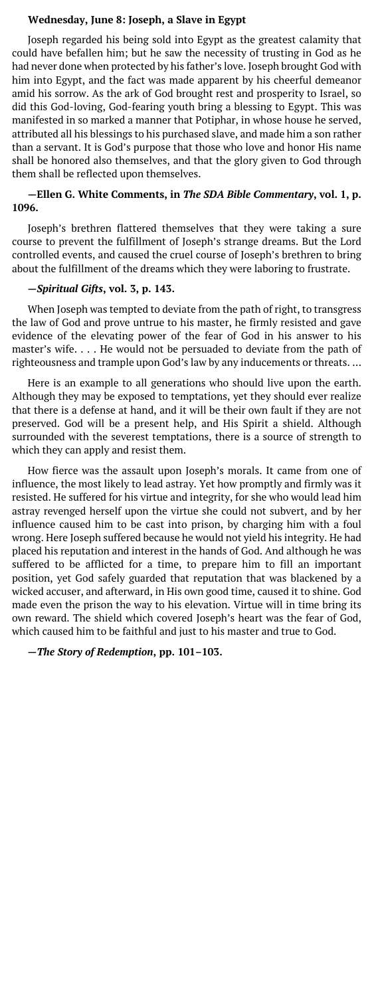#### **Wednesday, June 8: Joseph, a Slave in Egypt**

Joseph regarded his being sold into Egypt as the greatest calamity that could have befallen him; but he saw the necessity of trusting in God as he had never done when protected by his father's love. Joseph brought God with him into Egypt, and the fact was made apparent by his cheerful demeanor amid his sorrow. As the ark of God brought rest and prosperity to Israel, so did this God-loving, God-fearing youth bring a blessing to Egypt. This was manifested in so marked a manner that Potiphar, in whose house he served, attributed all his blessings to his purchased slave, and made him a son rather than a servant. It is God's purpose that those who love and honor His name shall be honored also themselves, and that the glory given to God through them shall be reflected upon themselves.

# **—Ellen G. White Comments, in** *The SDA Bible Commentary***, vol. 1, p. 1096.**

Joseph's brethren flattered themselves that they were taking a sure course to prevent the fulfillment of Joseph's strange dreams. But the Lord controlled events, and caused the cruel course of Joseph's brethren to bring about the fulfillment of the dreams which they were laboring to frustrate.

# **—***Spiritual Gifts***, vol. 3, p. 143.**

When Joseph was tempted to deviate from the path of right, to transgress the law of God and prove untrue to his master, he firmly resisted and gave evidence of the elevating power of the fear of God in his answer to his master's wife. . . . He would not be persuaded to deviate from the path of righteousness and trample upon God's law by any inducements or threats. …

Here is an example to all generations who should live upon the earth. Although they may be exposed to temptations, yet they should ever realize that there is a defense at hand, and it will be their own fault if they are not preserved. God will be a present help, and His Spirit a shield. Although surrounded with the severest temptations, there is a source of strength to which they can apply and resist them.

How fierce was the assault upon Joseph's morals. It came from one of influence, the most likely to lead astray. Yet how promptly and firmly was it resisted. He suffered for his virtue and integrity, for she who would lead him astray revenged herself upon the virtue she could not subvert, and by her influence caused him to be cast into prison, by charging him with a foul wrong. Here Joseph suffered because he would not yield his integrity. He had placed his reputation and interest in the hands of God. And although he was suffered to be afflicted for a time, to prepare him to fill an important position, yet God safely guarded that reputation that was blackened by a wicked accuser, and afterward, in His own good time, caused it to shine. God made even the prison the way to his elevation. Virtue will in time bring its own reward. The shield which covered Joseph's heart was the fear of God, which caused him to be faithful and just to his master and true to God.

**—***The Story of Redemption***, pp. 101–103.**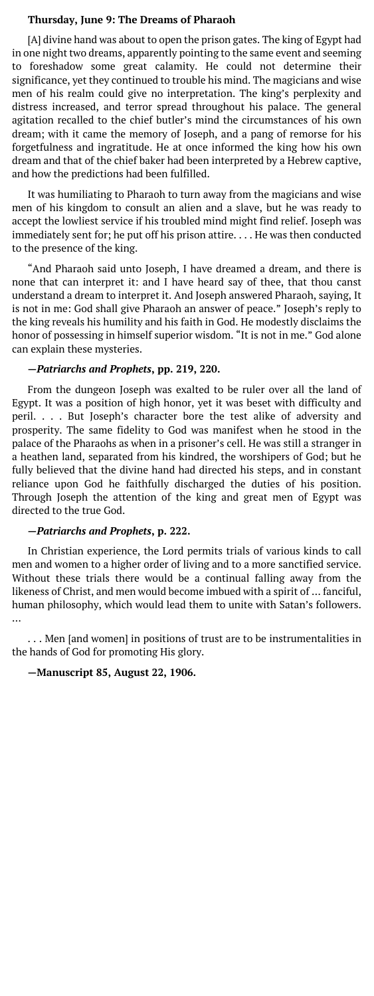#### **Thursday, June 9: The Dreams of Pharaoh**

[A] divine hand was about to open the prison gates. The king of Egypt had in one night two dreams, apparently pointing to the same event and seeming to foreshadow some great calamity. He could not determine their significance, yet they continued to trouble his mind. The magicians and wise men of his realm could give no interpretation. The king's perplexity and distress increased, and terror spread throughout his palace. The general agitation recalled to the chief butler's mind the circumstances of his own dream; with it came the memory of Joseph, and a pang of remorse for his forgetfulness and ingratitude. He at once informed the king how his own dream and that of the chief baker had been interpreted by a Hebrew captive, and how the predictions had been fulfilled.

It was humiliating to Pharaoh to turn away from the magicians and wise men of his kingdom to consult an alien and a slave, but he was ready to accept the lowliest service if his troubled mind might find relief. Joseph was immediately sent for; he put off his prison attire. . . . He was then conducted to the presence of the king.

"And Pharaoh said unto Joseph, I have dreamed a dream, and there is none that can interpret it: and I have heard say of thee, that thou canst understand a dream to interpret it. And Joseph answered Pharaoh, saying, It is not in me: God shall give Pharaoh an answer of peace." Joseph's reply to the king reveals his humility and his faith in God. He modestly disclaims the honor of possessing in himself superior wisdom. "It is not in me." God alone can explain these mysteries.

## **—***Patriarchs and Prophets***, pp. 219, 220.**

From the dungeon Joseph was exalted to be ruler over all the land of Egypt. It was a position of high honor, yet it was beset with difficulty and peril. . . . But Joseph's character bore the test alike of adversity and prosperity. The same fidelity to God was manifest when he stood in the palace of the Pharaohs as when in a prisoner's cell. He was still a stranger in a heathen land, separated from his kindred, the worshipers of God; but he fully believed that the divine hand had directed his steps, and in constant reliance upon God he faithfully discharged the duties of his position. Through Joseph the attention of the king and great men of Egypt was directed to the true God.

#### **—***Patriarchs and Prophets***, p. 222.**

In Christian experience, the Lord permits trials of various kinds to call men and women to a higher order of living and to a more sanctified service. Without these trials there would be a continual falling away from the likeness of Christ, and men would become imbued with a spirit of … fanciful, human philosophy, which would lead them to unite with Satan's followers. …

. . . Men [and women] in positions of trust are to be instrumentalities in the hands of God for promoting His glory.

**—Manuscript 85, August 22, 1906.**